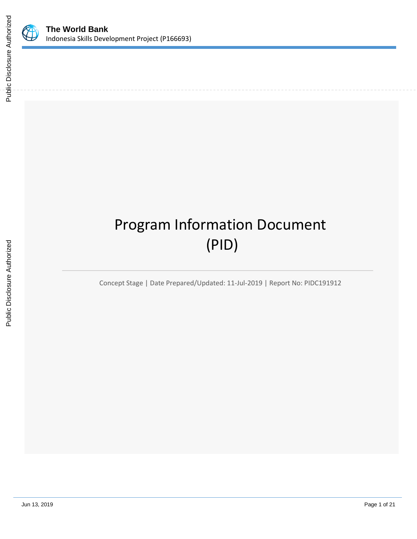

# Program Information Document (PID)

Concept Stage | Date Prepared/Updated: 11-Jul-2019 | Report No: PIDC191912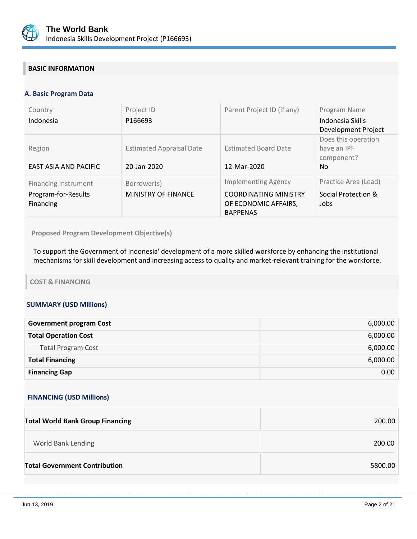

# **BASIC INFORMATION**

## **A. Basic Program Data**

| Country<br>Indonesia                                     | Project ID<br>P166693                          | Parent Project ID (if any)                                                                            | Program Name<br>Indonesia Skills<br>Development Project |
|----------------------------------------------------------|------------------------------------------------|-------------------------------------------------------------------------------------------------------|---------------------------------------------------------|
| Region<br>EAST ASIA AND PACIFIC                          | <b>Estimated Appraisal Date</b><br>20-Jan-2020 | <b>Estimated Board Date</b><br>12-Mar-2020                                                            | Does this operation<br>have an IPF<br>component?<br>No. |
| Financing Instrument<br>Program-for-Results<br>Financing | Borrower(s)<br>MINISTRY OF FINANCE             | <b>Implementing Agency</b><br><b>COORDINATING MINISTRY</b><br>OF ECONOMIC AFFAIRS,<br><b>BAPPENAS</b> | Practice Area (Lead)<br>Social Protection &<br>Jobs     |

**Proposed Program Development Objective(s)** 

To support the Government of Indonesia' development of a more skilled workforce by enhancing the institutional mechanisms for skill development and increasing access to quality and market-relevant training for the workforce.

**COST & FINANCING**

#### **SUMMARY (USD Millions)**

| <b>Government program Cost</b> | 6,000.00 |
|--------------------------------|----------|
| <b>Total Operation Cost</b>    | 6,000.00 |
| <b>Total Program Cost</b>      | 6,000.00 |
| <b>Total Financing</b>         | 6,000.00 |
| <b>Financing Gap</b>           | 0.00     |

#### **FINANCING (USD Millions)**

| <b>Total World Bank Group Financing</b> | 200.00  |
|-----------------------------------------|---------|
| World Bank Lending                      | 200.00  |
| <b>Total Government Contribution</b>    | 5800.00 |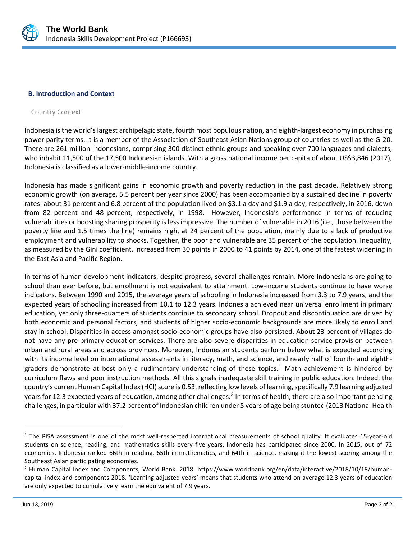

## **B. Introduction and Context**

#### Country Context

Indonesia is the world's largest archipelagic state, fourth most populous nation, and eighth-largest economy in purchasing power parity terms. It is a member of the Association of Southeast Asian Nations group of countries as well as the G-20. There are 261 million Indonesians, comprising 300 distinct ethnic groups and speaking over 700 languages and dialects, who inhabit 11,500 of the 17,500 Indonesian islands. With a gross national income per capita of about US\$3,846 (2017), Indonesia is classified as a lower-middle-income country.

Indonesia has made significant gains in economic growth and poverty reduction in the past decade. Relatively strong economic growth (on average, 5.5 percent per year since 2000) has been accompanied by a sustained decline in poverty rates: about 31 percent and 6.8 percent of the population lived on \$3.1 a day and \$1.9 a day, respectively, in 2016, down from 82 percent and 48 percent, respectively, in 1998. However, Indonesia's performance in terms of reducing vulnerabilities or boosting sharing prosperity is less impressive. The number of vulnerable in 2016 (i.e., those between the poverty line and 1.5 times the line) remains high, at 24 percent of the population, mainly due to a lack of productive employment and vulnerability to shocks. Together, the poor and vulnerable are 35 percent of the population. Inequality, as measured by the Gini coefficient, increased from 30 points in 2000 to 41 points by 2014, one of the fastest widening in the East Asia and Pacific Region.

In terms of human development indicators, despite progress, several challenges remain. More Indonesians are going to school than ever before, but enrollment is not equivalent to attainment. Low-income students continue to have worse indicators. Between 1990 and 2015, the average years of schooling in Indonesia increased from 3.3 to 7.9 years, and the expected years of schooling increased from 10.1 to 12.3 years. Indonesia achieved near universal enrollment in primary education, yet only three-quarters of students continue to secondary school. Dropout and discontinuation are driven by both economic and personal factors, and students of higher socio-economic backgrounds are more likely to enroll and stay in school. Disparities in access amongst socio-economic groups have also persisted. About 23 percent of villages do not have any pre-primary education services. There are also severe disparities in education service provision between urban and rural areas and across provinces. Moreover, Indonesian students perform below what is expected according with its income level on international assessments in literacy, math, and science, and nearly half of fourth- and eighthgraders demonstrate at best only a rudimentary understanding of these topics.<sup>1</sup> Math achievement is hindered by curriculum flaws and poor instruction methods. All this signals inadequate skill training in public education. Indeed, the country's current Human Capital Index (HCI) score is 0.53, reflecting low levels of learning, specifically 7.9 learning adjusted years for 12.3 expected years of education, among other challenges.<sup>2</sup> In terms of health, there are also important pending challenges, in particular with 37.2 percent of Indonesian children under 5 years of age being stunted (2013 National Health

 $1$  The PISA assessment is one of the most well-respected international measurements of school quality. It evaluates 15-year-old students on science, reading, and mathematics skills every five years. Indonesia has participated since 2000. In 2015, out of 72 economies, Indonesia ranked 66th in reading, 65th in mathematics, and 64th in science, making it the lowest-scoring among the Southeast Asian participating economies.

<sup>&</sup>lt;sup>2</sup> Human Capital Index and Components, World Bank. 2018. [https://www.worldbank.org/en/data/interactive/2018/10/18/human](https://www.worldbank.org/en/data/interactive/2018/10/18/human-capital-index-and-components-2018)[capital-index-and-components-2018](https://www.worldbank.org/en/data/interactive/2018/10/18/human-capital-index-and-components-2018). 'Learning adjusted years' means that students who attend on average 12.3 years of education are only expected to cumulatively learn the equivalent of 7.9 years.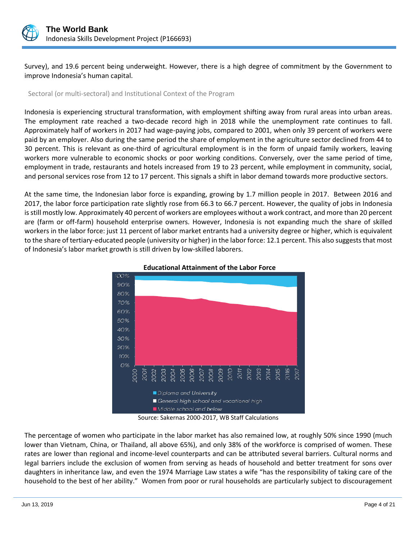

Survey), and 19.6 percent being underweight. However, there is a high degree of commitment by the Government to improve Indonesia's human capital.

## Sectoral (or multi-sectoral) and Institutional Context of the Program

Indonesia is experiencing structural transformation, with employment shifting away from rural areas into urban areas. The employment rate reached a two-decade record high in 2018 while the unemployment rate continues to fall. Approximately half of workers in 2017 had wage-paying jobs, compared to 2001, when only 39 percent of workers were paid by an employer. Also during the same period the share of employment in the agriculture sector declined from 44 to 30 percent. This is relevant as one-third of agricultural employment is in the form of unpaid family workers, leaving workers more vulnerable to economic shocks or poor working conditions. Conversely, over the same period of time, employment in trade, restaurants and hotels increased from 19 to 23 percent, while employment in community, social, and personal services rose from 12 to 17 percent. This signals a shift in labor demand towards more productive sectors.

At the same time, the Indonesian labor force is expanding, growing by 1.7 million people in 2017. Between 2016 and 2017, the labor force participation rate slightly rose from 66.3 to 66.7 percent. However, the quality of jobs in Indonesia is still mostly low. Approximately 40 percent of workers are employees without a work contract, and more than 20 percent are (farm or off-farm) household enterprise owners. However, Indonesia is not expanding much the share of skilled workers in the labor force: just 11 percent of labor market entrants had a university degree or higher, which is equivalent to the share of tertiary-educated people (university or higher) in the labor force: 12.1 percent. This also suggests that most of Indonesia's labor market growth is still driven by low-skilled laborers.



## **Educational Attainment of the Labor Force**

Source: Sakernas 2000-2017, WB Staff Calculations

The percentage of women who participate in the labor market has also remained low, at roughly 50% since 1990 (much lower than Vietnam, China, or Thailand, all above 65%), and only 38% of the workforce is comprised of women. These rates are lower than regional and income-level counterparts and can be attributed several barriers. Cultural norms and legal barriers include the exclusion of women from serving as heads of household and better treatment for sons over daughters in inheritance law, and even the 1974 Marriage Law states a wife "has the responsibility of taking care of the household to the best of her ability." Women from poor or rural households are particularly subject to discouragement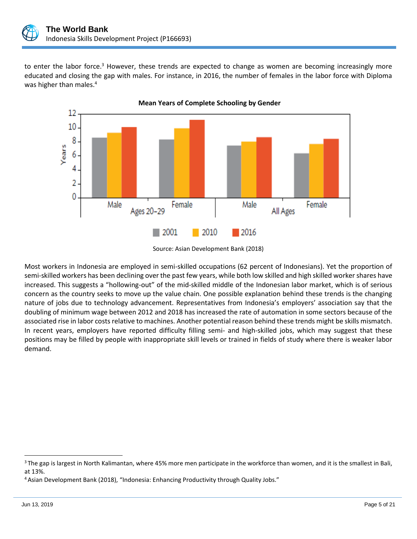

to enter the labor force.<sup>3</sup> However, these trends are expected to change as women are becoming increasingly more educated and closing the gap with males. For instance, in 2016, the number of females in the labor force with Diploma was higher than males.<sup>4</sup>



**Mean Years of Complete Schooling by Gender**

Most workers in Indonesia are employed in semi-skilled occupations (62 percent of Indonesians). Yet the proportion of semi-skilled workers has been declining over the past few years, while both low skilled and high skilled worker shares have increased. This suggests a "hollowing-out" of the mid-skilled middle of the Indonesian labor market, which is of serious concern as the country seeks to move up the value chain. One possible explanation behind these trends is the changing nature of jobs due to technology advancement. Representatives from Indonesia's employers' association say that the doubling of minimum wage between 2012 and 2018 has increased the rate of automation in some sectors because of the associated rise in labor costs relative to machines. Another potential reason behind these trends might be skills mismatch. In recent years, employers have reported difficulty filling semi- and high-skilled jobs, which may suggest that these positions may be filled by people with inappropriate skill levels or trained in fields of study where there is weaker labor demand.

Source: Asian Development Bank (2018)

 $3$ The gap is largest in North Kalimantan, where 45% more men participate in the workforce than women, and it is the smallest in Bali, at 13%.

<sup>4</sup>Asian Development Bank (2018), "Indonesia: Enhancing Productivity through Quality Jobs."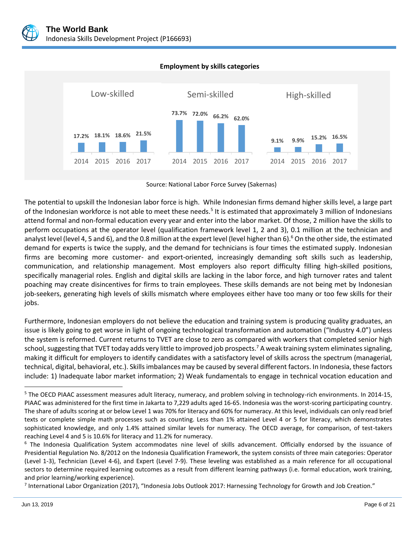

## **Employment by skills categories**

Source: National Labor Force Survey (Sakernas)

The potential to upskill the Indonesian labor force is high. While Indonesian firms demand higher skills level, a large part of the Indonesian workforce is not able to meet these needs.<sup>5</sup> It is estimated that approximately 3 million of Indonesians attend formal and non-formal education every year and enter into the labor market. Of those, 2 million have the skills to perform occupations at the operator level (qualification framework level 1, 2 and 3), 0.1 million at the technician and analyst level (level 4, 5 and 6), and the 0.8 million at the expert level (level higher than 6).<sup>6</sup> On the other side, the estimated demand for experts is twice the supply, and the demand for technicians is four times the estimated supply. Indonesian firms are becoming more customer- and export-oriented, increasingly demanding soft skills such as leadership, communication, and relationship management. Most employers also report difficulty filling high-skilled positions, specifically managerial roles. English and digital skills are lacking in the labor force, and high turnover rates and talent poaching may create disincentives for firms to train employees. These skills demands are not being met by Indonesian job-seekers, generating high levels of skills mismatch where employees either have too many or too few skills for their jobs.

Furthermore, Indonesian employers do not believe the education and training system is producing quality graduates, an issue is likely going to get worse in light of ongoing technological transformation and automation ("Industry 4.0") unless the system is reformed. Current returns to TVET are close to zero as compared with workers that completed senior high school, suggesting that TVET today adds very little to improved job prospects.<sup>7</sup> A weak training system eliminates signaling, making it difficult for employers to identify candidates with a satisfactory level of skills across the spectrum (managerial, technical, digital, behavioral, etc.). Skills imbalances may be caused by several different factors. In Indonesia, these factors include: 1) Inadequate labor market information; 2) Weak fundamentals to engage in technical vocation education and

<sup>5</sup> The OECD PIAAC assessment measures adult literacy, numeracy, and problem solving in technology-rich environments. In 2014-15, PIAAC was administered for the first time in Jakarta to 7,229 adults aged 16-65. Indonesia was the worst-scoring participating country. The share of adults scoring at or below Level 1 was 70% for literacy and 60% for numeracy. At this level, individuals can only read brief texts or complete simple math processes such as counting. Less than 1% attained Level 4 or 5 for literacy, which demonstrates sophisticated knowledge, and only 1.4% attained similar levels for numeracy. The OECD average, for comparison, of test-takers reaching Level 4 and 5 is 10.6% for literacy and 11.2% for numeracy.

<sup>&</sup>lt;sup>6</sup> The Indonesia Qualification System accommodates nine level of skills advancement. Officially endorsed by the issuance of Presidential Regulation No. 8/2012 on the Indonesia Qualification Framework, the system consists of three main categories: Operator (Level 1-3), Technician (Level 4-6), and Expert (Level 7-9). These leveling was established as a main reference for all occupational sectors to determine required learning outcomes as a result from different learning pathways (i.e. formal education, work training, and prior learning/working experience).

<sup>&</sup>lt;sup>7</sup> International Labor Organization (2017), "Indonesia Jobs Outlook 2017: Harnessing Technology for Growth and Job Creation."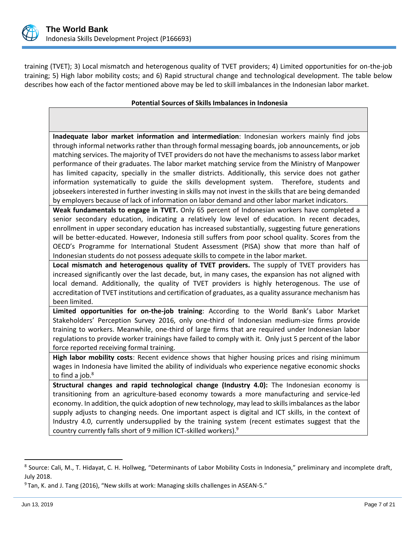

training (TVET); 3) Local mismatch and heterogenous quality of TVET providers; 4) Limited opportunities for on-the-job training; 5) High labor mobility costs; and 6) Rapid structural change and technological development. The table below describes how each of the factor mentioned above may be led to skill imbalances in the Indonesian labor market.

#### **Potential Sources of Skills Imbalances in Indonesia**

**Inadequate labor market information and intermediation**: Indonesian workers mainly find jobs through informal networks rather than through formal messaging boards, job announcements, or job matching services. The majority of TVET providers do not have the mechanisms to assess labor market performance of their graduates. The labor market matching service from the Ministry of Manpower has limited capacity, specially in the smaller districts. Additionally, this service does not gather information systematically to guide the skills development system. Therefore, students and jobseekers interested in further investing in skills may not invest in the skills that are being demanded by employers because of lack of information on labor demand and other labor market indicators.

**Weak fundamentals to engage in TVET.** Only 65 percent of Indonesian workers have completed a senior secondary education, indicating a relatively low level of education. In recent decades, enrollment in upper secondary education has increased substantially, suggesting future generations will be better-educated. However, Indonesia still suffers from poor school quality. Scores from the OECD's Programme for International Student Assessment (PISA) show that more than half of Indonesian students do not possess adequate skills to compete in the labor market.

**Local mismatch and heterogenous quality of TVET providers.** The supply of TVET providers has increased significantly over the last decade, but, in many cases, the expansion has not aligned with local demand. Additionally, the quality of TVET providers is highly heterogenous. The use of accreditation of TVET institutions and certification of graduates, as a quality assurance mechanism has been limited.

**Limited opportunities for on-the-job training**: According to the World Bank's Labor Market Stakeholders' Perception Survey 2016, only one-third of Indonesian medium-size firms provide training to workers. Meanwhile, one-third of large firms that are required under Indonesian labor regulations to provide worker trainings have failed to comply with it. Only just 5 percent of the labor force reported receiving formal training.

**High labor mobility costs**: Recent evidence shows that higher housing prices and rising minimum wages in Indonesia have limited the ability of individuals who experience negative economic shocks to find a job. $8$ 

**Structural changes and rapid technological change (Industry 4.0):** The Indonesian economy is transitioning from an agriculture-based economy towards a more manufacturing and service-led economy. In addition, the quick adoption of new technology, may lead to skills imbalances as the labor supply adjusts to changing needs. One important aspect is digital and ICT skills, in the context of Industry 4.0, currently undersupplied by the training system (recent estimates suggest that the country currently falls short of 9 million ICT-skilled workers).<sup>9</sup>

<sup>&</sup>lt;sup>8</sup> Source: Cali, M., T. Hidayat, C. H. Hollweg, "Determinants of Labor Mobility Costs in Indonesia," preliminary and incomplete draft, July 2018.

<sup>9</sup> Tan, K. and J. Tang (2016), "New skills at work: Managing skills challenges in ASEAN-5."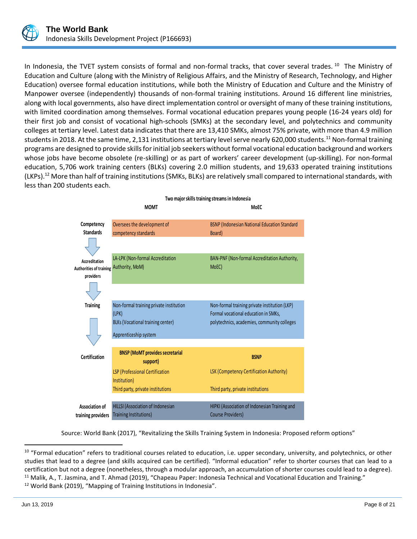

In Indonesia, the TVET system consists of formal and non-formal tracks, that cover several trades. <sup>10</sup> The Ministry of Education and Culture (along with the Ministry of Religious Affairs, and the Ministry of Research, Technology, and Higher Education) oversee formal education institutions, while both the Ministry of Education and Culture and the Ministry of Manpower oversee (independently) thousands of non-formal training institutions. Around 16 different line ministries, along with local governments, also have direct implementation control or oversight of many of these training institutions, with limited coordination among themselves. Formal vocational education prepares young people (16-24 years old) for their first job and consist of vocational high-schools (SMKs) at the secondary level, and polytechnics and community colleges at tertiary level. Latest data indicates that there are 13,410 SMKs, almost 75% private, with more than 4.9 million students in 2018. At the same time, 2,131 institutions at tertiary level serve nearly 620,000 students.<sup>11</sup> Non-formal training programs are designed to provide skills for initial job seekers without formal vocational education background and workers whose jobs have become obsolete (re-skilling) or as part of workers' career development (up-skilling). For non-formal education, 5,706 work training centers (BLKs) covering 2.0 million students, and 19,633 operated training institutions (LKPs).<sup>12</sup> More than half of training institutions (SMKs, BLKs) are relatively small compared to international standards, with less than 200 students each.



Source: World Bank (2017), "Revitalizing the Skills Training System in Indonesia: Proposed reform options"

<sup>&</sup>lt;sup>10</sup> "Formal education" refers to traditional courses related to education, i.e. upper secondary, university, and polytechnics, or other studies that lead to a degree (and skills acquired can be certified). "Informal education" refer to shorter courses that can lead to a certification but not a degree (nonetheless, through a modular approach, an accumulation of shorter courses could lead to a degree).  $11$  Malik, A., T. Jasmina, and T. Ahmad (2019), "Chapeau Paper: Indonesia Technical and Vocational Education and Training." <sup>12</sup> World Bank (2019), "Mapping of Training Institutions in Indonesia".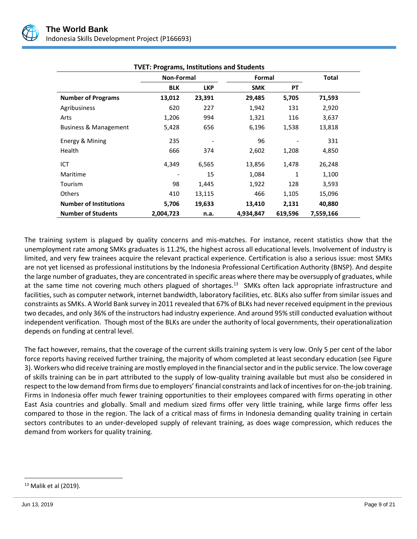

| $\ldots$                      |                   |            |            |              |           |  |
|-------------------------------|-------------------|------------|------------|--------------|-----------|--|
|                               | <b>Non-Formal</b> |            |            | Formal       |           |  |
|                               | <b>BLK</b>        | <b>LKP</b> | <b>SMK</b> | PT           |           |  |
| <b>Number of Programs</b>     | 13,012            | 23,391     | 29,485     | 5,705        | 71,593    |  |
| Agribusiness                  | 620               | 227        | 1,942      | 131          | 2,920     |  |
| Arts                          | 1,206             | 994        | 1,321      | 116          | 3,637     |  |
| Business & Management         | 5,428             | 656        | 6,196      | 1,538        | 13,818    |  |
| Energy & Mining               | 235               |            | 96         |              | 331       |  |
| <b>Health</b>                 | 666               | 374        | 2,602      | 1,208        | 4,850     |  |
| ICT                           | 4,349             | 6,565      | 13,856     | 1,478        | 26,248    |  |
| Maritime                      |                   | 15         | 1,084      | $\mathbf{1}$ | 1,100     |  |
| Tourism                       | 98                | 1,445      | 1,922      | 128          | 3,593     |  |
| <b>Others</b>                 | 410               | 13,115     | 466        | 1,105        | 15,096    |  |
| <b>Number of Institutions</b> | 5,706             | 19,633     | 13,410     | 2,131        | 40,880    |  |
| <b>Number of Students</b>     | 2,004,723         | n.a.       | 4,934,847  | 619,596      | 7,559,166 |  |

**TVET: Programs, Institutions and Students** 

The training system is plagued by quality concerns and mis-matches. For instance, recent statistics show that the unemployment rate among SMKs graduates is 11.2%, the highest across all educational levels. Involvement of industry is limited, and very few trainees acquire the relevant practical experience. Certification is also a serious issue: most SMKs are not yet licensed as professional institutions by the Indonesia Professional Certification Authority (BNSP). And despite the large number of graduates, they are concentrated in specific areas where there may be oversupply of graduates, while at the same time not covering much others plagued of shortages.<sup>13</sup> SMKs often lack appropriate infrastructure and facilities, such as computer network, internet bandwidth, laboratory facilities, etc. BLKs also suffer from similar issues and constraints as SMKs. A World Bank survey in 2011 revealed that 67% of BLKs had never received equipment in the previous two decades, and only 36% of the instructors had industry experience. And around 95% still conducted evaluation without independent verification. Though most of the BLKs are under the authority of local governments, their operationalization depends on funding at central level.

The fact however, remains, that the coverage of the current skills training system is very low. Only 5 per cent of the labor force reports having received further training, the majority of whom completed at least secondary education (see Figure 3). Workers who did receive training are mostly employed in the financial sector and in the public service. The low coverage of skills training can be in part attributed to the supply of low-quality training available but must also be considered in respect to the low demand from firms due to employers' financial constraints and lack of incentives for on-the-job training. Firms in Indonesia offer much fewer training opportunities to their employees compared with firms operating in other East Asia countries and globally. Small and medium sized firms offer very little training, while large firms offer less compared to those in the region. The lack of a critical mass of firms in Indonesia demanding quality training in certain sectors contributes to an under-developed supply of relevant training, as does wage compression, which reduces the demand from workers for quality training.

<sup>13</sup> Malik et al (2019).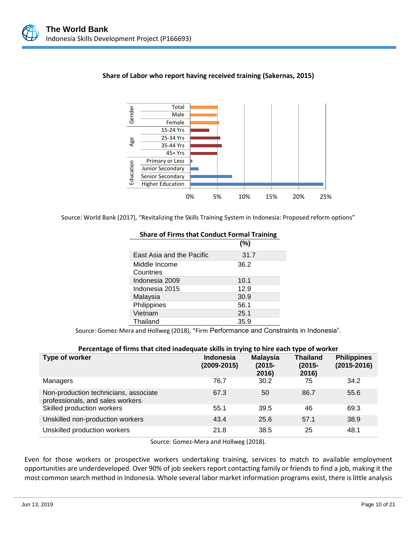





Source: World Bank (2017), "Revitalizing the Skills Training System in Indonesia: Proposed reform options"

| Share or Firms that Conduct Formal Hammig |      |  |
|-------------------------------------------|------|--|
|                                           | (%)  |  |
| East Asia and the Pacific                 | 31.7 |  |
| Middle Income<br>Countries                | 36.2 |  |
| Indonesia 2009                            | 10.1 |  |
| Indonesia 2015                            | 12.9 |  |
| Malaysia                                  | 30.9 |  |
| Philippines                               | 56.1 |  |
| Vietnam                                   | 25.1 |  |
| Thailand                                  | 35.9 |  |

# **Share of Firms that Conduct Formal Training**

Source: Gomez-Mera and Hollweg (2018), "Firm Performance and Constraints in Indonesia".

| Percentage of firms that cited inadequate skills in trying to hire each type of worker |                                     |                                       |                                       |                                       |  |
|----------------------------------------------------------------------------------------|-------------------------------------|---------------------------------------|---------------------------------------|---------------------------------------|--|
| Type of worker                                                                         | <b>Indonesia</b><br>$(2009 - 2015)$ | <b>Malaysia</b><br>$(2015 -$<br>2016) | <b>Thailand</b><br>$(2015 -$<br>2016) | <b>Philippines</b><br>$(2015 - 2016)$ |  |
| Managers                                                                               | 76.7                                | 30.2                                  | 75                                    | 34.2                                  |  |
| Non-production technicians, associate<br>professionals, and sales workers              | 67.3                                | 50                                    | 86.7                                  | 55.6                                  |  |
| Skilled production workers                                                             | 55.1                                | 39.5                                  | 46                                    | 69.3                                  |  |
| Unskilled non-production workers                                                       | 43.4                                | 25.6                                  | 57.1                                  | 38.9                                  |  |
| Unskilled production workers                                                           | 21.8                                | 38.5                                  | 25                                    | 48.1                                  |  |

Source: Gomez-Mera and Hollweg (2018).

Even for those workers or prospective workers undertaking training, services to match to available employment opportunities are underdeveloped. Over 90% of job seekers report contacting family or friends to find a job, making it the most common search method in Indonesia. Whole several labor market information programs exist, there is little analysis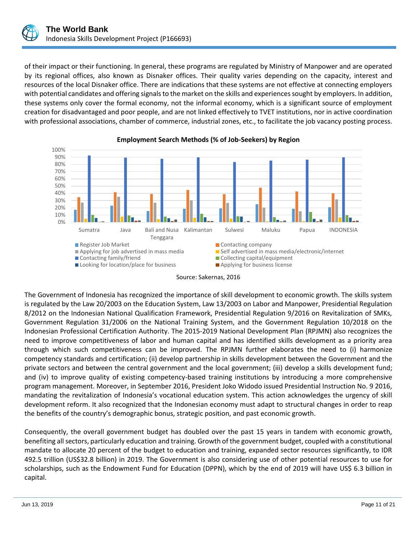of their impact or their functioning. In general, these programs are regulated by Ministry of Manpower and are operated by its regional offices, also known as Disnaker offices. Their quality varies depending on the capacity, interest and resources of the local Disnaker office. There are indications that these systems are not effective at connecting employers with potential candidates and offering signals to the market on the skills and experiences sought by employers. In addition, these systems only cover the formal economy, not the informal economy, which is a significant source of employment creation for disadvantaged and poor people, and are not linked effectively to TVET institutions, nor in active coordination with professional associations, chamber of commerce, industrial zones, etc., to facilitate the job vacancy posting process.







The Government of Indonesia has recognized the importance of skill development to economic growth. The skills system is regulated by the Law 20/2003 on the Education System, Law 13/2003 on Labor and Manpower, Presidential Regulation 8/2012 on the Indonesian National Qualification Framework, Presidential Regulation 9/2016 on Revitalization of SMKs, Government Regulation 31/2006 on the National Training System, and the Government Regulation 10/2018 on the Indonesian Professional Certification Authority. The 2015-2019 National Development Plan (RPJMN) also recognizes the need to improve competitiveness of labor and human capital and has identified skills development as a priority area through which such competitiveness can be improved. The RPJMN further elaborates the need to (i) harmonize competency standards and certification; (ii) develop partnership in skills development between the Government and the private sectors and between the central government and the local government; (iii) develop a skills development fund; and (iv) to improve quality of existing competency-based training institutions by introducing a more comprehensive program management. Moreover, in September 2016, President Joko Widodo issued Presidential Instruction No. 9 2016, mandating the revitalization of Indonesia's vocational education system. This action acknowledges the urgency of skill development reform. It also recognized that the Indonesian economy must adapt to structural changes in order to reap the benefits of the country's demographic bonus, strategic position, and past economic growth.

Consequently, the overall government budget has doubled over the past 15 years in tandem with economic growth, benefiting all sectors, particularly education and training. Growth of the government budget, coupled with a constitutional mandate to allocate 20 percent of the budget to education and training, expanded sector resources significantly, to IDR 492.5 trillion (US\$32.8 billion) in 2019. The Government is also considering use of other potential resources to use for scholarships, such as the Endowment Fund for Education (DPPN), which by the end of 2019 will have US\$ 6.3 billion in capital.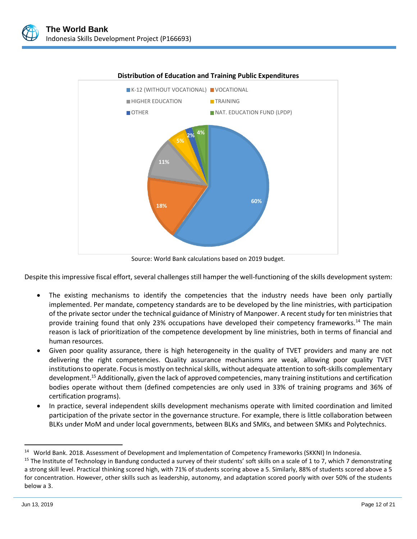

#### **Distribution of Education and Training Public Expenditures**

Source: World Bank calculations based on 2019 budget.

Despite this impressive fiscal effort, several challenges still hamper the well-functioning of the skills development system:

- The existing mechanisms to identify the competencies that the industry needs have been only partially implemented. Per mandate, competency standards are to be developed by the line ministries, with participation of the private sector under the technical guidance of Ministry of Manpower. A recent study for ten ministries that provide training found that only 23% occupations have developed their competency frameworks.<sup>14</sup> The main reason is lack of prioritization of the competence development by line ministries, both in terms of financial and human resources.
- Given poor quality assurance, there is high heterogeneity in the quality of TVET providers and many are not delivering the right competencies. Quality assurance mechanisms are weak, allowing poor quality TVET institutions to operate. Focus is mostly on technical skills, without adequate attention to soft-skills complementary development.<sup>15</sup> Additionally, given the lack of approved competencies, many training institutions and certification bodies operate without them (defined competencies are only used in 33% of training programs and 36% of certification programs).
- In practice, several independent skills development mechanisms operate with limited coordination and limited participation of the private sector in the governance structure. For example, there is little collaboration between BLKs under MoM and under local governments, between BLKs and SMKs, and between SMKs and Polytechnics.

<sup>&</sup>lt;sup>14</sup> World Bank. 2018. Assessment of Development and Implementation of Competency Frameworks (SKKNI) In Indonesia.

 $15$  The Institute of Technology in Bandung conducted a survey of their students' soft skills on a scale of 1 to 7, which 7 demonstrating a strong skill level. Practical thinking scored high, with 71% of students scoring above a 5. Similarly, 88% of students scored above a 5 for concentration. However, other skills such as leadership, autonomy, and adaptation scored poorly with over 50% of the students below a 3.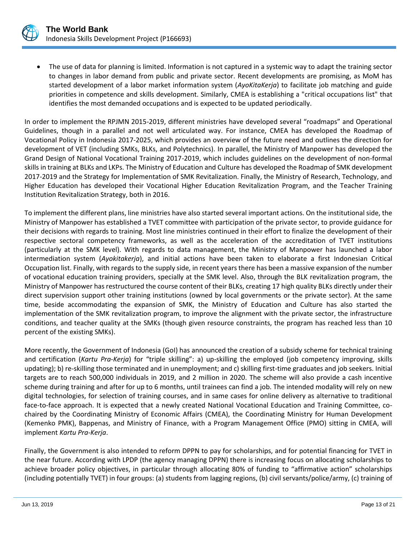

• The use of data for planning is limited. Information is not captured in a systemic way to adapt the training sector to changes in labor demand from public and private sector. Recent developments are promising, as MoM has started development of a labor market information system (*AyoKitaKerja*) to facilitate job matching and guide priorities in competence and skills development. Similarly, CMEA is establishing a "critical occupations list" that identifies the most demanded occupations and is expected to be updated periodically.

In order to implement the RPJMN 2015-2019, different ministries have developed several "roadmaps" and Operational Guidelines, though in a parallel and not well articulated way. For instance, CMEA has developed the Roadmap of Vocational Policy in Indonesia 2017-2025, which provides an overview of the future need and outlines the direction for development of VET (including SMKs, BLKs, and Polytechnics). In parallel, the Ministry of Manpower has developed the Grand Design of National Vocational Training 2017-2019, which includes guidelines on the development of non-formal skills in training at BLKs and LKPs. The Ministry of Education and Culture has developed the Roadmap of SMK development 2017-2019 and the Strategy for Implementation of SMK Revitalization. Finally, the Ministry of Research, Technology, and Higher Education has developed their Vocational Higher Education Revitalization Program, and the Teacher Training Institution Revitalization Strategy, both in 2016.

To implement the different plans, line ministries have also started several important actions. On the institutional side, the Ministry of Manpower has established a TVET committee with participation of the private sector, to provide guidance for their decisions with regards to training. Most line ministries continued in their effort to finalize the development of their respective sectoral competency frameworks, as well as the acceleration of the accreditation of TVET institutions (particularly at the SMK level). With regards to data management, the Ministry of Manpower has launched a labor intermediation system (*Ayokitakerja*), and initial actions have been taken to elaborate a first Indonesian Critical Occupation list. Finally, with regards to the supply side, in recent years there has been a massive expansion of the number of vocational education training providers, specially at the SMK level. Also, through the BLK revitalization program, the Ministry of Manpower has restructured the course content of their BLKs, creating 17 high quality BLKs directly under their direct supervision support other training institutions (owned by local governments or the private sector). At the same time, beside accommodating the expansion of SMK, the Ministry of Education and Culture has also started the implementation of the SMK revitalization program, to improve the alignment with the private sector, the infrastructure conditions, and teacher quality at the SMKs (though given resource constraints, the program has reached less than 10 percent of the existing SMKs).

More recently, the Government of Indonesia (GoI) has announced the creation of a subsidy scheme for technical training and certification (*Kartu Pra-Kerja*) for "triple skilling": a) up-skilling the employed (job competency improving, skills updating); b) re-skilling those terminated and in unemployment; and c) skilling first-time graduates and job seekers. Initial targets are to reach 500,000 individuals in 2019, and 2 million in 2020. The scheme will also provide a cash incentive scheme during training and after for up to 6 months, until trainees can find a job. The intended modality will rely on new digital technologies, for selection of training courses, and in same cases for online delivery as alternative to traditional face-to-face approach. It is expected that a newly created National Vocational Education and Training Committee, cochaired by the Coordinating Ministry of Economic Affairs (CMEA), the Coordinating Ministry for Human Development (Kemenko PMK), Bappenas, and Ministry of Finance, with a Program Management Office (PMO) sitting in CMEA, will implement *Kartu Pra-Kerja*.

Finally, the Government is also intended to reform DPPN to pay for scholarships, and for potential financing for TVET in the near future. According with LPDP (the agency managing DPPN) there is increasing focus on allocating scholarships to achieve broader policy objectives, in particular through allocating 80% of funding to "affirmative action" scholarships (including potentially TVET) in four groups: (a) students from lagging regions, (b) civil servants/police/army, (c) training of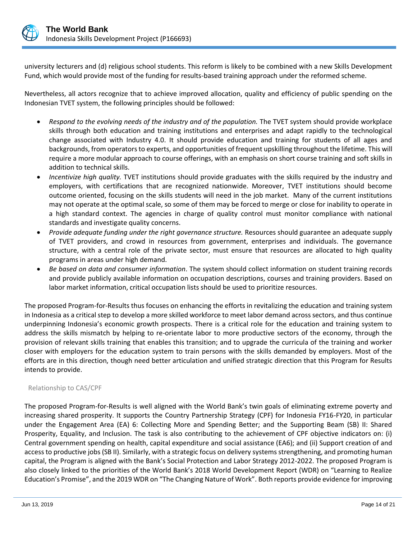

university lecturers and (d) religious school students. This reform is likely to be combined with a new Skills Development Fund, which would provide most of the funding for results-based training approach under the reformed scheme.

Nevertheless, all actors recognize that to achieve improved allocation, quality and efficiency of public spending on the Indonesian TVET system, the following principles should be followed:

- *Respond to the evolving needs of the industry and of the population.* The TVET system should provide workplace skills through both education and training institutions and enterprises and adapt rapidly to the technological change associated with Industry 4.0. It should provide education and training for students of all ages and backgrounds, from operators to experts, and opportunities of frequent upskilling throughout the lifetime. This will require a more modular approach to course offerings, with an emphasis on short course training and soft skills in addition to technical skills.
- *Incentivize high quality.* TVET institutions should provide graduates with the skills required by the industry and employers, with certifications that are recognized nationwide. Moreover, TVET institutions should become outcome oriented, focusing on the skills students will need in the job market. Many of the current institutions may not operate at the optimal scale, so some of them may be forced to merge or close for inability to operate in a high standard context. The agencies in charge of quality control must monitor compliance with national standards and investigate quality concerns.
- *Provide adequate funding under the right governance structure.* Resources should guarantee an adequate supply of TVET providers, and crowd in resources from government, enterprises and individuals. The governance structure, with a central role of the private sector, must ensure that resources are allocated to high quality programs in areas under high demand.
- *Be based on data and consumer information*. The system should collect information on student training records and provide publicly available information on occupation descriptions, courses and training providers. Based on labor market information, critical occupation lists should be used to prioritize resources.

The proposed Program-for-Results thus focuses on enhancing the efforts in revitalizing the education and training system in Indonesia as a critical step to develop a more skilled workforce to meet labor demand across sectors, and thus continue underpinning Indonesia's economic growth prospects. There is a critical role for the education and training system to address the skills mismatch by helping to re-orientate labor to more productive sectors of the economy, through the provision of relevant skills training that enables this transition; and to upgrade the curricula of the training and worker closer with employers for the education system to train persons with the skills demanded by employers. Most of the efforts are in this direction, though need better articulation and unified strategic direction that this Program for Results intends to provide.

## Relationship to CAS/CPF

The proposed Program-for-Results is well aligned with the World Bank's twin goals of eliminating extreme poverty and increasing shared prosperity. It supports the Country Partnership Strategy (CPF) for Indonesia FY16-FY20, in particular under the Engagement Area (EA) 6: Collecting More and Spending Better; and the Supporting Beam (SB) II: Shared Prosperity, Equality, and Inclusion. The task is also contributing to the achievement of CPF objective indicators on: (i) Central government spending on health, capital expenditure and social assistance (EA6); and (ii) Support creation of and access to productive jobs (SB II). Similarly, with a strategic focus on delivery systems strengthening, and promoting human capital, the Program is aligned with the Bank's Social Protection and Labor Strategy 2012-2022. The proposed Program is also closely linked to the priorities of the World Bank's 2018 World Development Report (WDR) on "Learning to Realize Education's Promise", and the 2019 WDR on "The Changing Nature of Work". Both reports provide evidence for improving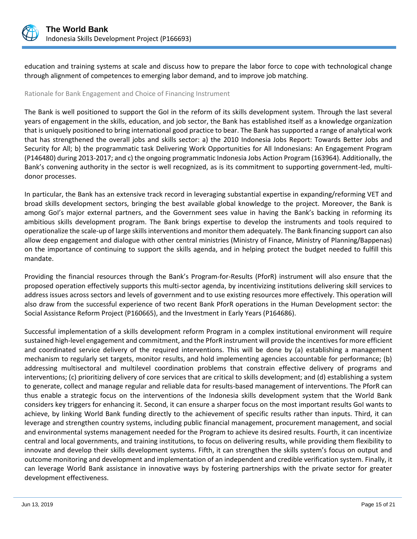

education and training systems at scale and discuss how to prepare the labor force to cope with technological change through alignment of competences to emerging labor demand, and to improve job matching.

## Rationale for Bank Engagement and Choice of Financing Instrument

The Bank is well positioned to support the GoI in the reform of its skills development system. Through the last several years of engagement in the skills, education, and job sector, the Bank has established itself as a knowledge organization that is uniquely positioned to bring international good practice to bear. The Bank has supported a range of analytical work that has strengthened the overall jobs and skills sector: a) the 2010 Indonesia Jobs Report: Towards Better Jobs and Security for All; b) the programmatic task Delivering Work Opportunities for All Indonesians: An Engagement Program (P146480) during 2013-2017; and c) the ongoing programmatic Indonesia Jobs Action Program (163964). Additionally, the Bank's convening authority in the sector is well recognized, as is its commitment to supporting government-led, multidonor processes.

In particular, the Bank has an extensive track record in leveraging substantial expertise in expanding/reforming VET and broad skills development sectors, bringing the best available global knowledge to the project. Moreover, the Bank is among GoI's major external partners, and the Government sees value in having the Bank's backing in reforming its ambitious skills development program. The Bank brings expertise to develop the instruments and tools required to operationalize the scale-up of large skills interventions and monitor them adequately. The Bank financing support can also allow deep engagement and dialogue with other central ministries (Ministry of Finance, Ministry of Planning/Bappenas) on the importance of continuing to support the skills agenda, and in helping protect the budget needed to fulfill this mandate.

Providing the financial resources through the Bank's Program-for-Results (PforR) instrument will also ensure that the proposed operation effectively supports this multi-sector agenda, by incentivizing institutions delivering skill services to address issues across sectors and levels of government and to use existing resources more effectively. This operation will also draw from the successful experience of two recent Bank PforR operations in the Human Development sector: the Social Assistance Reform Project (P160665), and the Investment in Early Years (P164686).

Successful implementation of a skills development reform Program in a complex institutional environment will require sustained high-level engagement and commitment, and the PforR instrument will provide the incentives for more efficient and coordinated service delivery of the required interventions. This will be done by (a) establishing a management mechanism to regularly set targets, monitor results, and hold implementing agencies accountable for performance; (b) addressing multisectoral and multilevel coordination problems that constrain effective delivery of programs and interventions; (c) prioritizing delivery of core services that are critical to skills development; and (d) establishing a system to generate, collect and manage regular and reliable data for results-based management of interventions. The PforR can thus enable a strategic focus on the interventions of the Indonesia skills development system that the World Bank considers key triggers for enhancing it. Second, it can ensure a sharper focus on the most important results GoI wants to achieve, by linking World Bank funding directly to the achievement of specific results rather than inputs. Third, it can leverage and strengthen country systems, including public financial management, procurement management, and social and environmental systems management needed for the Program to achieve its desired results. Fourth, it can incentivize central and local governments, and training institutions, to focus on delivering results, while providing them flexibility to innovate and develop their skills development systems. Fifth, it can strengthen the skills system's focus on output and outcome monitoring and development and implementation of an independent and credible verification system. Finally, it can leverage World Bank assistance in innovative ways by fostering partnerships with the private sector for greater development effectiveness.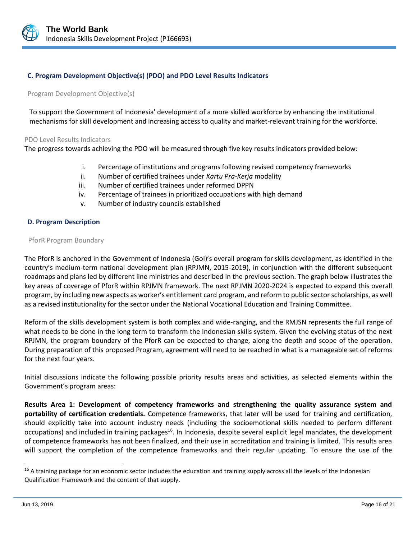

#### **C. Program Development Objective(s) (PDO) and PDO Level Results Indicators**

#### Program Development Objective(s)

To support the Government of Indonesia' development of a more skilled workforce by enhancing the institutional mechanisms for skill development and increasing access to quality and market-relevant training for the workforce.

#### PDO Level Results Indicators

The progress towards achieving the PDO will be measured through five key results indicators provided below:

- i. Percentage of institutions and programs following revised competency frameworks
- ii. Number of certified trainees under *Kartu Pra-Kerja* modality
- iii. Number of certified trainees under reformed DPPN
- iv. Percentage of trainees in prioritized occupations with high demand
- v. Number of industry councils established

#### **D. Program Description**

#### PforR Program Boundary

The PforR is anchored in the Government of Indonesia (GoI)'s overall program for skills development, as identified in the country's medium-term national development plan (RPJMN, 2015-2019), in conjunction with the different subsequent roadmaps and plans led by different line ministries and described in the previous section. The graph below illustrates the key areas of coverage of PforR within RPJMN framework. The next RPJMN 2020-2024 is expected to expand this overall program, by including new aspects as worker's entitlement card program, and reform to public sector scholarships, as well as a revised institutionality for the sector under the National Vocational Education and Training Committee.

Reform of the skills development system is both complex and wide-ranging, and the RMJSN represents the full range of what needs to be done in the long term to transform the Indonesian skills system. Given the evolving status of the next RPJMN, the program boundary of the PforR can be expected to change, along the depth and scope of the operation. During preparation of this proposed Program, agreement will need to be reached in what is a manageable set of reforms for the next four years.

Initial discussions indicate the following possible priority results areas and activities, as selected elements within the Government's program areas:

**Results Area 1: Development of competency frameworks and strengthening the quality assurance system and portability of certification credentials.** Competence frameworks, that later will be used for training and certification, should explicitly take into account industry needs (including the socioemotional skills needed to perform different occupations) and included in training packages<sup>16</sup>. In Indonesia, despite several explicit legal mandates, the development of competence frameworks has not been finalized, and their use in accreditation and training is limited. This results area will support the completion of the competence frameworks and their regular updating. To ensure the use of the

<sup>&</sup>lt;sup>16</sup> A training package for an economic sector includes the education and training supply across all the levels of the Indonesian Qualification Framework and the content of that supply.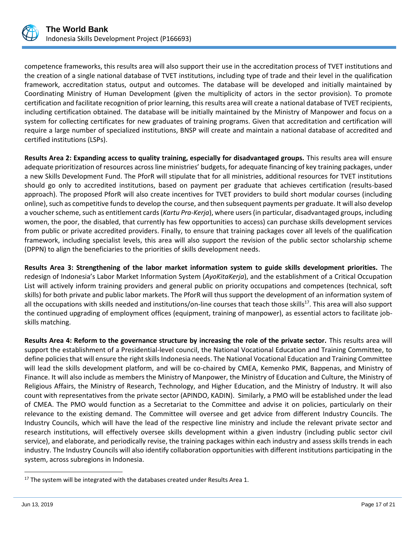

competence frameworks, this results area will also support their use in the accreditation process of TVET institutions and the creation of a single national database of TVET institutions, including type of trade and their level in the qualification framework, accreditation status, output and outcomes. The database will be developed and initially maintained by Coordinating Ministry of Human Development (given the multiplicity of actors in the sector provision). To promote certification and facilitate recognition of prior learning, this results area will create a national database of TVET recipients, including certification obtained. The database will be initially maintained by the Ministry of Manpower and focus on a system for collecting certificates for new graduates of training programs. Given that accreditation and certification will require a large number of specialized institutions, BNSP will create and maintain a national database of accredited and certified institutions (LSPs).

**Results Area 2: Expanding access to quality training, especially for disadvantaged groups.** This results area will ensure adequate prioritization of resources across line ministries' budgets, for adequate financing of key training packages, under a new Skills Development Fund. The PforR will stipulate that for all ministries, additional resources for TVET institutions should go only to accredited institutions, based on payment per graduate that achieves certification (results-based approach). The proposed PforR will also create incentives for TVET providers to build short modular courses (including online), such as competitive funds to develop the course, and then subsequent payments per graduate. It will also develop a voucher scheme, such as entitlement cards (*Kartu Pra-Kerja*), where users (in particular, disadvantaged groups, including women, the poor, the disabled, that currently has few opportunities to access) can purchase skills development services from public or private accredited providers. Finally, to ensure that training packages cover all levels of the qualification framework, including specialist levels, this area will also support the revision of the public sector scholarship scheme (DPPN) to align the beneficiaries to the priorities of skills development needs.

**Results Area 3: Strengthening of the labor market information system to guide skills development priorities.** The redesign of Indonesia's Labor Market Information System (*AyoKitaKerja*), and the establishment of a Critical Occupation List will actively inform training providers and general public on priority occupations and competences (technical, soft skills) for both private and public labor markets. The PforR will thus support the development of an information system of all the occupations with skills needed and institutions/on-line courses that teach those skills<sup>17</sup>. This area will also support the continued upgrading of employment offices (equipment, training of manpower), as essential actors to facilitate jobskills matching.

**Results Area 4: Reform to the governance structure by increasing the role of the private sector.** This results area will support the establishment of a Presidential-level council, the National Vocational Education and Training Committee, to define policies that will ensure the right skills Indonesia needs. The National Vocational Education and Training Committee will lead the skills development platform, and will be co-chaired by CMEA, Kemenko PMK, Bappenas, and Ministry of Finance. It will also include as members the Ministry of Manpower, the Ministry of Education and Culture, the Ministry of Religious Affairs, the Ministry of Research, Technology, and Higher Education, and the Ministry of Industry. It will also count with representatives from the private sector (APINDO, KADIN). Similarly, a PMO will be established under the lead of CMEA. The PMO would function as a Secretariat to the Committee and advise it on policies, particularly on their relevance to the existing demand. The Committee will oversee and get advice from different Industry Councils. The Industry Councils, which will have the lead of the respective line ministry and include the relevant private sector and research institutions, will effectively oversee skills development within a given industry (including public sector civil service), and elaborate, and periodically revise, the training packages within each industry and assess skills trends in each industry. The Industry Councils will also identify collaboration opportunities with different institutions participating in the system, across subregions in Indonesia.

 $17$  The system will be integrated with the databases created under Results Area 1.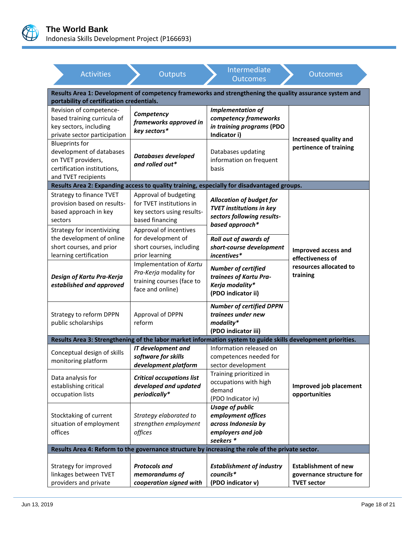

| <b>Activities</b>                                                                                                             | <b>Outputs</b>                                                                                     | <b>Intermediate</b><br><b>Outcomes</b>                                                                              | <b>Outcomes</b>                                                               |
|-------------------------------------------------------------------------------------------------------------------------------|----------------------------------------------------------------------------------------------------|---------------------------------------------------------------------------------------------------------------------|-------------------------------------------------------------------------------|
| portability of certification credentials.                                                                                     |                                                                                                    | Results Area 1: Development of competency frameworks and strengthening the quality assurance system and             |                                                                               |
| Revision of competence-<br>based training curricula of<br>key sectors, including<br>private sector participation              | Competency<br>frameworks approved in<br>key sectors*                                               | <b>Implementation of</b><br>competency frameworks<br>in training programs (PDO<br>Indicator i)                      | Increased quality and                                                         |
| <b>Blueprints for</b><br>development of databases<br>on TVET providers,<br>certification institutions,<br>and TVET recipients | <b>Databases developed</b><br>and rolled out*                                                      | Databases updating<br>information on frequent<br>basis                                                              | pertinence of training                                                        |
|                                                                                                                               |                                                                                                    | Results Area 2: Expanding access to quality training, especially for disadvantaged groups.                          |                                                                               |
| Strategy to finance TVET<br>provision based on results-<br>based approach in key<br>sectors                                   | Approval of budgeting<br>for TVET institutions in<br>key sectors using results-<br>based financing | <b>Allocation of budget for</b><br><b>TVET institutions in key</b><br>sectors following results-<br>based approach* |                                                                               |
| Strategy for incentivizing<br>the development of online<br>short courses, and prior<br>learning certification                 | Approval of incentives<br>for development of<br>short courses, including<br>prior learning         | <b>Roll out of awards of</b><br>short-course development<br>incentives*                                             | Improved access and<br>effectiveness of                                       |
| Design of Kartu Pra-Kerja<br>established and approved                                                                         | Implementation of Kartu<br>Pra-Kerja modality for<br>training courses (face to<br>face and online) | <b>Number of certified</b><br>trainees of Kartu Pra-<br>Kerja modality*<br>(PDO indicator ii)                       | resources allocated to<br>training                                            |
| Strategy to reform DPPN<br>public scholarships                                                                                | Approval of DPPN<br>reform                                                                         | <b>Number of certified DPPN</b><br>trainees under new<br>modality*<br>(PDO indicator iii)                           |                                                                               |
|                                                                                                                               |                                                                                                    | Results Area 3: Strengthening of the labor market information system to guide skills development priorities.        |                                                                               |
| Conceptual design of skills<br>monitoring platform                                                                            | <b>IT development and</b><br>software for skills<br>development platform                           | Information released on<br>competences needed for<br>sector development                                             |                                                                               |
| Data analysis for<br>establishing critical<br>occupation lists                                                                | <b>Critical occupations list</b><br>developed and updated<br>periodically*                         | Training prioritized in<br>occupations with high<br>demand<br>(PDO Indicator iv)                                    | Improved job placement<br>opportunities                                       |
| Stocktaking of current<br>situation of employment<br>offices                                                                  | Strategy elaborated to<br>strengthen employment<br>offices                                         | <b>Usage of public</b><br>employment offices<br>across Indonesia by<br>employers and job<br>seekers *               |                                                                               |
|                                                                                                                               |                                                                                                    | Results Area 4: Reform to the governance structure by increasing the role of the private sector.                    |                                                                               |
| Strategy for improved<br>linkages between TVET<br>providers and private                                                       | <b>Protocols and</b><br>memorandums of<br>cooperation signed with                                  | <b>Establishment of industry</b><br>councils*<br>(PDO indicator v)                                                  | <b>Establishment of new</b><br>governance structure for<br><b>TVET sector</b> |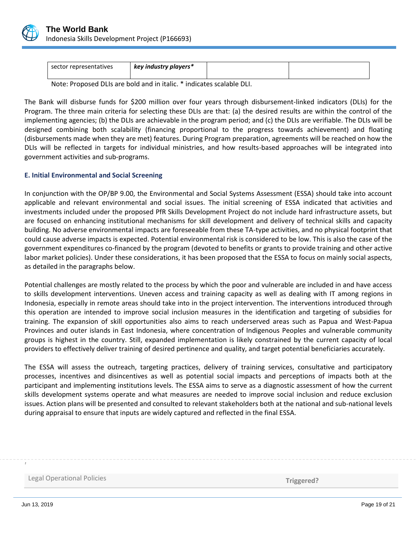

| tor representatives<br>sector | key industry players* |  |
|-------------------------------|-----------------------|--|
|                               |                       |  |

Note: Proposed DLIs are bold and in italic. \* indicates scalable DLI.

The Bank will disburse funds for \$200 million over four years through disbursement-linked indicators (DLIs) for the Program. The three main criteria for selecting these DLIs are that: (a) the desired results are within the control of the implementing agencies; (b) the DLIs are achievable in the program period; and (c) the DLIs are verifiable. The DLIs will be designed combining both scalability (financing proportional to the progress towards achievement) and floating (disbursements made when they are met) features. During Program preparation, agreements will be reached on how the DLIs will be reflected in targets for individual ministries, and how results-based approaches will be integrated into government activities and sub-programs.

#### **E. Initial Environmental and Social Screening**

In conjunction with the OP/BP 9.00, the Environmental and Social Systems Assessment (ESSA) should take into account applicable and relevant environmental and social issues. The initial screening of ESSA indicated that activities and investments included under the proposed PfR Skills Development Project do not include hard infrastructure assets, but are focused on enhancing institutional mechanisms for skill development and delivery of technical skills and capacity building. No adverse environmental impacts are foreseeable from these TA-type activities, and no physical footprint that could cause adverse impacts is expected. Potential environmental risk is considered to be low. This is also the case of the government expenditures co-financed by the program (devoted to benefits or grants to provide training and other active labor market policies). Under these considerations, it has been proposed that the ESSA to focus on mainly social aspects, as detailed in the paragraphs below.

Potential challenges are mostly related to the process by which the poor and vulnerable are included in and have access to skills development interventions. Uneven access and training capacity as well as dealing with IT among regions in Indonesia, especially in remote areas should take into in the project intervention. The interventions introduced through this operation are intended to improve social inclusion measures in the identification and targeting of subsidies for training. The expansion of skill opportunities also aims to reach underserved areas such as Papua and West-Papua Provinces and outer islands in East Indonesia, where concentration of Indigenous Peoples and vulnerable community groups is highest in the country. Still, expanded implementation is likely constrained by the current capacity of local providers to effectively deliver training of desired pertinence and quality, and target potential beneficiaries accurately.

The ESSA will assess the outreach, targeting practices, delivery of training services, consultative and participatory processes, incentives and disincentives as well as potential social impacts and perceptions of impacts both at the participant and implementing institutions levels. The ESSA aims to serve as a diagnostic assessment of how the current skills development systems operate and what measures are needed to improve social inclusion and reduce exclusion issues. Action plans will be presented and consulted to relevant stakeholders both at the national and sub-national levels during appraisal to ensure that inputs are widely captured and reflected in the final ESSA.

Legal Operational Policies

 **Triggered?**

..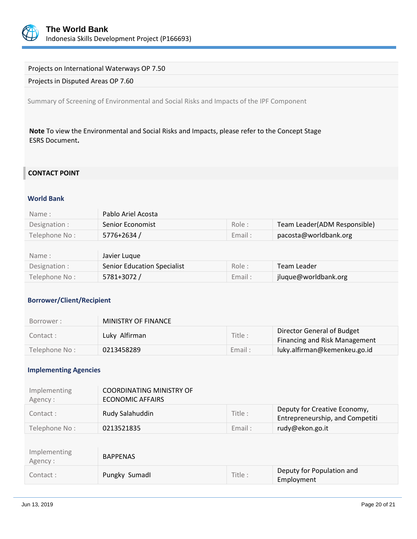

#### Projects on International Waterways OP 7.50

#### Projects in Disputed Areas OP 7.60

Summary of Screening of Environmental and Social Risks and Impacts of the IPF Component

**Note** To view the Environmental and Social Risks and Impacts, please refer to the Concept Stage ESRS Document**.**

# **CONTACT POINT**

## **World Bank**

| Name:         | Pablo Ariel Acosta |        |                              |
|---------------|--------------------|--------|------------------------------|
| Designation : | Senior Economist   | Role:  | Team Leader(ADM Responsible) |
| Telephone No: | 5776+2634 /        | Email: | pacosta@worldbank.org        |
|               |                    |        |                              |
|               |                    |        |                              |

| Name:         | Javier Lugue                       |       |                      |
|---------------|------------------------------------|-------|----------------------|
| Designation : | <b>Senior Education Specialist</b> | Role: | Team Leader          |
| Telephone No: | 5781+3072/                         | Email | jluque@worldbank.org |

## **Borrower/Client/Recipient**

| Borrower :    | MINISTRY OF FINANCE |         |                                                             |
|---------------|---------------------|---------|-------------------------------------------------------------|
| Contact:      | Luky Alfirman       | Title : | Director General of Budget<br>Financing and Risk Management |
| Telephone No: | 0213458289          | Email:  | luky.alfirman@kemenkeu.go.id                                |

## **Implementing Agencies**

| Implementing<br>Agency:  | <b>COORDINATING MINISTRY OF</b><br><b>ECONOMIC AFFAIRS</b> |        |                                                                 |
|--------------------------|------------------------------------------------------------|--------|-----------------------------------------------------------------|
| Contact:                 | Rudy Salahuddin                                            | Title: | Deputy for Creative Economy,<br>Entrepreneurship, and Competiti |
| Telephone No:            | 0213521835                                                 | Email: | rudy@ekon.go.it                                                 |
|                          |                                                            |        |                                                                 |
| Implementing<br>Agency : | <b>BAPPENAS</b>                                            |        |                                                                 |
| Contact:                 | Pungky Sumadl                                              | Title: | Deputy for Population and<br>Employment                         |